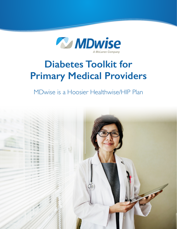

# **Diabetes Toolkit for Primary Medical Providers**

MDwise is a Hoosier Healthwise/HIP Plan

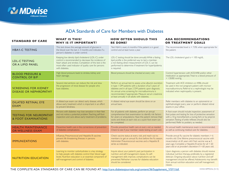

## ADA Standards of Care for Members with Diabetes

| <b>STANDARD OF CARE</b>                                      | <b>WHAT IS THIS?</b><br><b>WHY IS IT IMPORTANT?</b>                                                                                                                                                                                               | <b>HOW OFTEN SHOULD THIS</b><br><b>BE DONE?</b>                                                                                                                                                                                                                                                                                                        | <b>ADA RECOMMENDATIONS</b><br><b>OR TREATMENT GOALS</b>                                                                                                                                                                                                                                                |
|--------------------------------------------------------------|---------------------------------------------------------------------------------------------------------------------------------------------------------------------------------------------------------------------------------------------------|--------------------------------------------------------------------------------------------------------------------------------------------------------------------------------------------------------------------------------------------------------------------------------------------------------------------------------------------------------|--------------------------------------------------------------------------------------------------------------------------------------------------------------------------------------------------------------------------------------------------------------------------------------------------------|
| <b>HBA1-C TESTING</b>                                        | This test shows the average amount of glucose in<br>the blood over the last 2-3 months and indicates if a<br>person's diabetes is under control.                                                                                                  | Test HbA1c every 6 months if the patient is in good<br>control and at least twice a year.                                                                                                                                                                                                                                                              | The recommended level is $<$ 7.0% when appropriate for<br>the patient.                                                                                                                                                                                                                                 |
| <b>LDL-C TESTING</b><br>OR A LIPID PANEL                     | Keeping low density lipid cholesterol (LDL-C) under<br>control is recommended to decrease the incidence of<br>heart attack and strokes. Completion of this test is the<br>most-often used indicator of quality care for persons<br>with diabetes. | LDL-C testing should be done annually. While a fasting<br>lipid profile is the preferred way to test a member,<br>a non-fasting direct measurement of LDL-C can be<br>performed to determine if treatment for hyperlipidemia<br>is required.                                                                                                           | The LDL cholesterol goal is $<$ 100 mg/dL.                                                                                                                                                                                                                                                             |
| <b>BLOOD PRESSURE &amp;</b><br><b>CONTROL OF B/P</b>         | High blood pressure leads to strokes, kidney and<br>heart damage.                                                                                                                                                                                 | Blood pressure should be checked at every visit.                                                                                                                                                                                                                                                                                                       | Control hypertension with ACE/ARB and/or other<br>medication as appropriate. Treat to a blood pressure of<br>$<$ 130/80 mmHg.                                                                                                                                                                          |
| <b>SCREENING FOR KIDNEY</b><br><b>DISEASE OR NEPHROPATHY</b> | Several interventions can reduce the risk and slow<br>the progression of renal disease for people who<br>have diabetes                                                                                                                            | Perform an annual test to assess urine albumin excretion<br>in type $\perp$ DM patients with a duration of $\geq$ 5 years of<br>diabetes and in all type 2 DM patients upon diagnosis.<br>An annual urine screening for microalbuminuria is<br>recommended, if appropriate. Measure serum creatinine<br>at least annually in all adults with diabetes. | Treatment with ACE inhibitors or ARBs should<br>be used in the non-pregnant patient with microor<br>macroalbuminuria. Referral to a nephrologist may be<br>indicated when nephropathy is present.                                                                                                      |
| <b>DILATED RETINAL EYE</b><br><b>EXAM</b>                    | A dilated eye exam can detect early disease, which<br>allows early treatment which is important in an effort<br>to prevent blindness.                                                                                                             | A dilated retinal eye exam should be done on an<br>annual basis.                                                                                                                                                                                                                                                                                       | Refer members with diabetes to an optometrist or<br>ophthalmologist every year or perform dilated retinal<br>exams in your office.                                                                                                                                                                     |
| <b>TESTING FOR NEUROPATHY</b><br>& FOOT EXAMINATIONS         | Persons with diabetes may lose sensation in their feet<br>and not notice a potential problem. Teaching self-foot<br>inspection and care allows early treatment of problems.                                                                       | For all patients with diabetes, perform an annual<br>comprehensive foot examination to identify risk factors<br>for ulcers or amputations. Have the patient remove their<br>socks and shoes at each visit, so a quick foot exam can<br>be completed.                                                                                                   | A foot exam should include inspection, assessment of<br>foot pulses and testing for loss of protective sensation<br>with a 10-g monofilament, a tuning fork or by pinprick<br>sensation. Testing of ankle reflexes should also be<br>performed. Refer to podiatry as needed.                           |
| <b>HEALTH MAINTENANCE</b><br><b>OR WELLNESS EXAM</b>         | Preventive health care is the cornerstone of prevention<br>of diabetes complications.                                                                                                                                                             | Provide preventive health care at every visit as needed.<br>Check to see if your member needs testing at each visit.                                                                                                                                                                                                                                   | An annual health maintenance exam is recommended,<br>as well as continuing medical care for diabetes.                                                                                                                                                                                                  |
| <b>IMMUNIZATIONS</b>                                         | Influenza, Pneumococcal and Hepatitis B vaccines<br>prevent life threatening illnesses in persons<br>with diabetes.                                                                                                                               | Check vaccine status at every visit, and reach out to<br>members to get an annual flu shot before the flu season.<br>Administer Pneumococcal vaccines and a Hepatitis B<br>series as indicated.                                                                                                                                                        | Provide annual flu vaccine for diabetic members > 6<br>months old. One lifetime pneumococcal vaccine with<br>revaccination at 65 years old if last vaccine was $\geq 5$<br>years ago. Complete a Hepatitis B series for all < 60<br>years old or at provider's discretion if > 60 years old.           |
| <b>NUTRITION EDUCATION</b>                                   | Learning to monitor carbohydrates is a key strategy<br>to help people with diabetes control their blood sugar<br>levels. Nutrition education is an essential component of<br>self-management and control of diabetes.                             | Inquire about your patient's past participation in<br>nutrition and self-management classes. As self-<br>management skills improve, complications can be<br>prevented. Refresher courses for diabetes education<br>should be considered.                                                                                                               | Upon diagnosis, a person with diabetes should receive<br>individual nutrition therapy, preferably by a registered<br>dietician. Ongoing education about nutrition and self<br>management should be offered. Adolescents may benefit<br>from annual nutrition education and self management<br>classes. |

THE COMPLETE ADA STANDARDS OF CARE CAN BE FOUND AT: [http://care.diabetesjournals.org/content/36/Supplement\\_](http://care.diabetesjournals.org/content/36/Supplement_1/S11.full)1/S11.full HHW-HIPP0256 (5/13)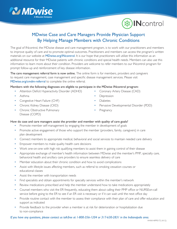



## MDwise Case and Care Managers Provide Physician Support By Helping Manage Members with Chronic Conditions

The goal of INcontrol, the MDwise disease and care management program, is to work with our practitioners and members to improve quality of care and to promote optimal outcomes. Practitioners and members can access the program's written materials on our website at [MDwise.org/INcontrol](http://MDwise.org/INcontrol). It is our hope that practitioners will utilize this information as an additional resource for their MDwise patients with chronic conditions and special health needs. Members can also use this information to learn more about their condition. Providers are welcome to refer members to our INcontrol program for prompt follow-up and reinforcement of key disease information.

The care management referral form is now online. The online form is for members, providers and caregivers to request care management, case management and specific disease management services. Please visit [MDwise.org/cmdm-referral](http://mdwise.org/cmdm-referral) to complete the online referral.

#### Members with the following diagnoses are eligible to participate in the MDwise INcontrol program:

- Attention Deficit Hyperactivity Disorder (ADHD)
- Asthma
- Congestive Heart Failure (CHF)
- Chronic Kidney Disease (CKD)
- **Chronic Obstructive Pulmonary** Disease (COPD)
- Coronary Artery Disease (CAD)
- **Depression**
- **Diabetes**
- Pervasive Developmental Disorder (PDD)
- **Pregnancy**

#### How do case and care managers assist the provider and member with quality of care goals?

- Promote member self-management by engaging the member in development of goals
- Promote active engagement of those who support the member (providers, family, caregivers) in care plan development
- Connect members to appropriate medical, behavioral and social services to maintain needed care delivery
- Empower members to make quality health care decisions
- Work one-on-one with high risk qualifying members to assist them in gaining control of their disease
- Appropriate exchange of member's health information between MDwise and the member's PMP, specialty care, behavioral health and ancillary care providers to ensure seamless delivery of care
- Member education about their chronic condition and how to avoid complications
- Assist with lifestyle issues affecting members, such as referral to smoking cessation courses or educational classes
- Assist the member with transportation needs
- Find specialists and obtain appointments for specialty services within the member's network
- Review medications prescribed and help the member understand how to take medications appropriately
- Counsel members who visit the ER frequently, educating them about calling their PMP office or NURSEon-call service before going to the ER to see if an ER visit is necessary or if it can wait until the next office day
- Provide routine contact with the member to assess their compliance with their plan of care and offer education and support as indicated
- Provide feedback to the provider when a member is at risk for deterioration or hospitalization due to non-compliance

#### *If you have any questions, please contact us toll-free at 1-800-356-1204 or 317-630-2831 in the Indianapolis area.*